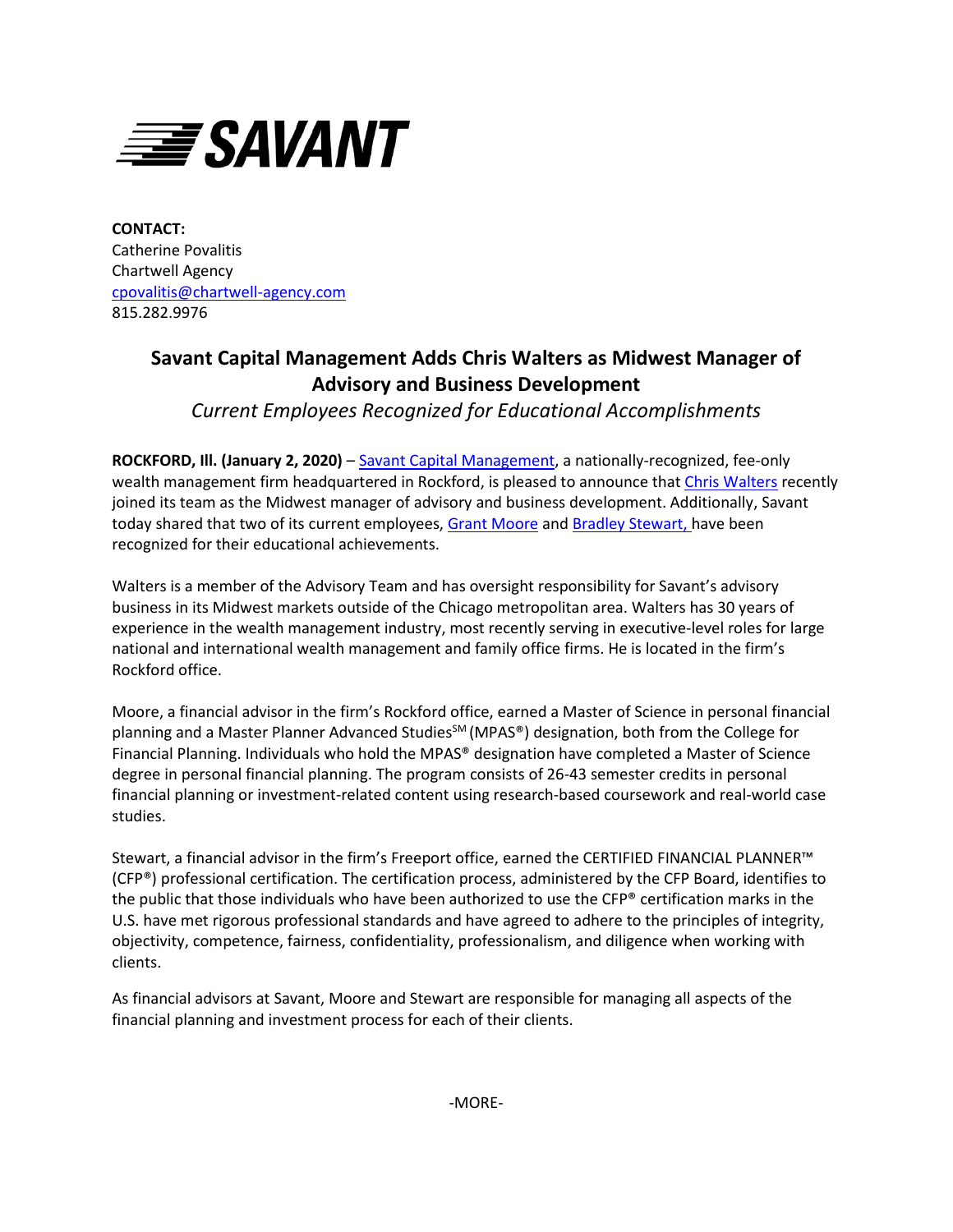

**CONTACT:** Catherine Povalitis Chartwell Agency [cpovalitis@chartwell-agency.com](mailto:cpovalitis@chartwell-agency.com)  815.282.9976

## **Savant Capital Management Adds Chris Walters as Midwest Manager of Advisory and Business Development**

*Current Employees Recognized for Educational Accomplishments*

**ROCKFORD, Ill. (January 2, 2020)** [– Savant Capital Management,](http://www.savantcapital.com/) a nationally-recognized, fee-only wealth management firm headquartered in Rockford, is pleased to announce that [Chris Walters](https://www.savantcapital.com/team-member/Chris-A.-Walters) recently joined its team as the Midwest manager of advisory and business development. Additionally, Savant today shared that two of its current employees[, Grant Moore](https://www.savantcapital.com/team-member/Grant-W.-Moore) and [Bradley Stewart,](https://www.savantcapital.com/team-member/Bradley-R.-Stewart) have been recognized for their educational achievements.

Walters is a member of the Advisory Team and has oversight responsibility for Savant's advisory business in its Midwest markets outside of the Chicago metropolitan area. Walters has 30 years of experience in the wealth management industry, most recently serving in executive-level roles for large national and international wealth management and family office firms. He is located in the firm's Rockford office.

Moore, a financial advisor in the firm's Rockford office, earned a Master of Science in personal financial planning and a Master Planner Advanced Studies<sup>SM</sup> (MPAS®) designation, both from the College for Financial Planning. Individuals who hold the MPAS® designation have completed a Master of Science degree in personal financial planning. The program consists of 26-43 semester credits in personal financial planning or investment-related content using research-based coursework and real-world case studies.

Stewart, a financial advisor in the firm's Freeport office, earned the CERTIFIED FINANCIAL PLANNER™ (CFP®) professional certification. The certification process, administered by the CFP Board, identifies to the public that those individuals who have been authorized to use the CFP® certification marks in the U.S. have met rigorous professional standards and have agreed to adhere to the principles of integrity, objectivity, competence, fairness, confidentiality, professionalism, and diligence when working with clients.

As financial advisors at Savant, Moore and Stewart are responsible for managing all aspects of the financial planning and investment process for each of their clients.

-MORE-